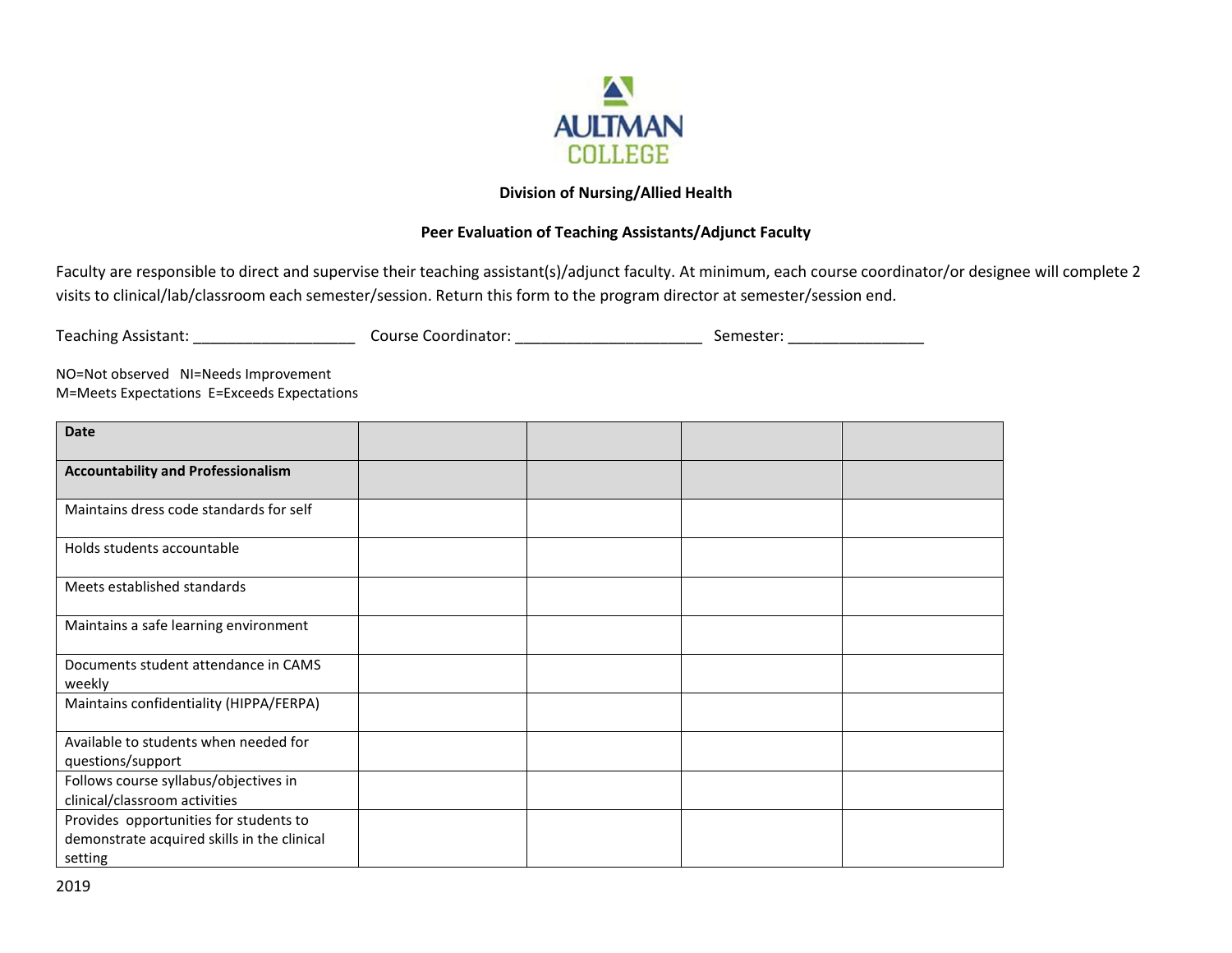

## **Division of Nursing/Allied Health**

## **Peer Evaluation of Teaching Assistants/Adjunct Faculty**

Faculty are responsible to direct and supervise their teaching assistant(s)/adjunct faculty. At minimum, each course coordinator/or designee will complete 2 visits to clinical/lab/classroom each semester/session. Return this form to the program director at semester/session end.

| <b>Teaching Assistant:</b> | Course Coordinator: | Semester: |  |
|----------------------------|---------------------|-----------|--|
|                            |                     |           |  |

NO=Not observed NI=Needs Improvement M=Meets Expectations E=Exceeds Expectations

| <b>Date</b>                                    |  |  |
|------------------------------------------------|--|--|
| <b>Accountability and Professionalism</b>      |  |  |
| Maintains dress code standards for self        |  |  |
| Holds students accountable                     |  |  |
| Meets established standards                    |  |  |
| Maintains a safe learning environment          |  |  |
| Documents student attendance in CAMS<br>weekly |  |  |
| Maintains confidentiality (HIPPA/FERPA)        |  |  |
| Available to students when needed for          |  |  |
| questions/support                              |  |  |
| Follows course syllabus/objectives in          |  |  |
| clinical/classroom activities                  |  |  |
| Provides opportunities for students to         |  |  |
| demonstrate acquired skills in the clinical    |  |  |
| setting                                        |  |  |